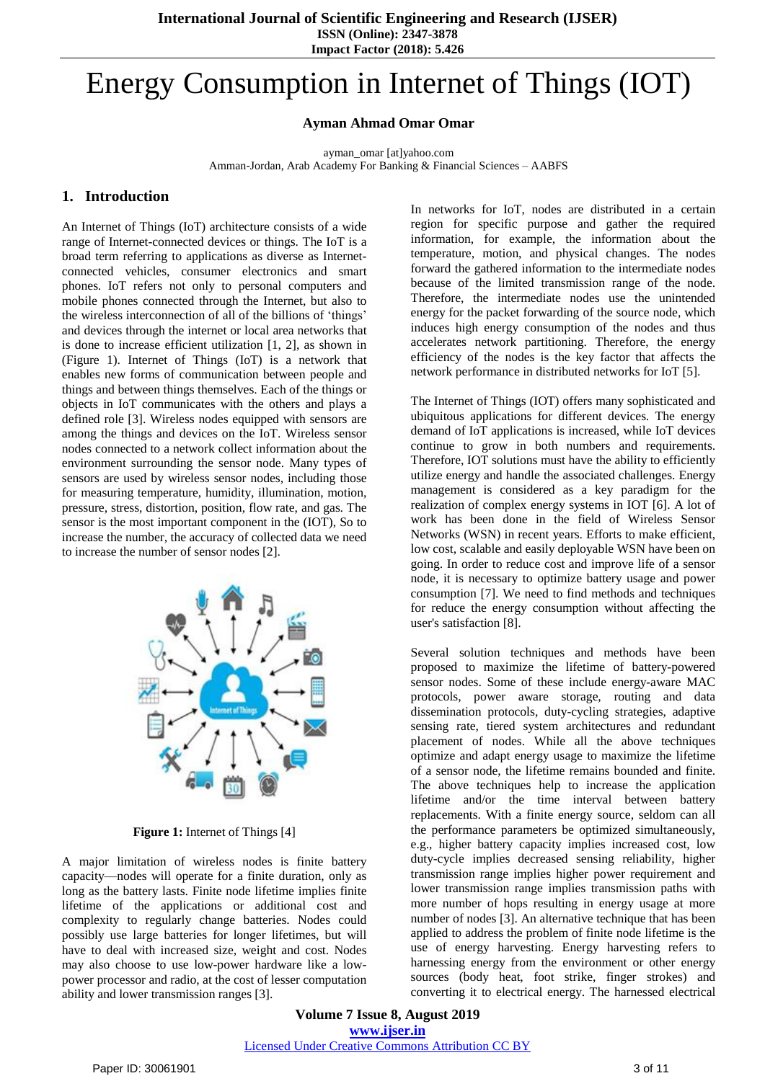**Impact Factor (2018): 5.426**

# Energy Consumption in Internet of Things (IOT)

## **Ayman Ahmad Omar Omar**

ayman\_omar [at]yahoo.com Amman-Jordan, Arab Academy For Banking & Financial Sciences – AABFS

# **1. Introduction**

An Internet of Things (IoT) architecture consists of a wide range of Internet-connected devices or things. The IoT is a broad term referring to applications as diverse as Internetconnected vehicles, consumer electronics and smart phones. IoT refers not only to personal computers and mobile phones connected through the Internet, but also to the wireless interconnection of all of the billions of 'things' and devices through the internet or local area networks that is done to increase efficient utilization [1, 2], as shown in (Figure 1). Internet of Things (IoT) is a network that enables new forms of communication between people and things and between things themselves. Each of the things or objects in IoT communicates with the others and plays a defined role [3]. Wireless nodes equipped with sensors are among the things and devices on the IoT. Wireless sensor nodes connected to a network collect information about the environment surrounding the sensor node. Many types of sensors are used by wireless sensor nodes, including those for measuring temperature, humidity, illumination, motion, pressure, stress, distortion, position, flow rate, and gas. The sensor is the most important component in the (IOT), So to increase the number, the accuracy of collected data we need to increase the number of sensor nodes [2].



**Figure 1:** Internet of Things [4]

A major limitation of wireless nodes is finite battery capacity—nodes will operate for a finite duration, only as long as the battery lasts. Finite node lifetime implies finite lifetime of the applications or additional cost and complexity to regularly change batteries. Nodes could possibly use large batteries for longer lifetimes, but will have to deal with increased size, weight and cost. Nodes may also choose to use low-power hardware like a lowpower processor and radio, at the cost of lesser computation ability and lower transmission ranges [3].

In networks for IoT, nodes are distributed in a certain region for specific purpose and gather the required information, for example, the information about the temperature, motion, and physical changes. The nodes forward the gathered information to the intermediate nodes because of the limited transmission range of the node. Therefore, the intermediate nodes use the unintended energy for the packet forwarding of the source node, which induces high energy consumption of the nodes and thus accelerates network partitioning. Therefore, the energy efficiency of the nodes is the key factor that affects the network performance in distributed networks for IoT [5].

The Internet of Things (IOT) offers many sophisticated and ubiquitous applications for different devices. The energy demand of IoT applications is increased, while IoT devices continue to grow in both numbers and requirements. Therefore, IOT solutions must have the ability to efficiently utilize energy and handle the associated challenges. Energy management is considered as a key paradigm for the realization of complex energy systems in IOT [6]. A lot of work has been done in the field of Wireless Sensor Networks (WSN) in recent years. Efforts to make efficient, low cost, scalable and easily deployable WSN have been on going. In order to reduce cost and improve life of a sensor node, it is necessary to optimize battery usage and power consumption [7]. We need to find methods and techniques for reduce the energy consumption without affecting the user's satisfaction [8].

Several solution techniques and methods have been proposed to maximize the lifetime of battery-powered sensor nodes. Some of these include energy-aware MAC protocols, power aware storage, routing and data dissemination protocols, duty-cycling strategies, adaptive sensing rate, tiered system architectures and redundant placement of nodes. While all the above techniques optimize and adapt energy usage to maximize the lifetime of a sensor node, the lifetime remains bounded and finite. The above techniques help to increase the application lifetime and/or the time interval between battery replacements. With a finite energy source, seldom can all the performance parameters be optimized simultaneously, e.g., higher battery capacity implies increased cost, low duty-cycle implies decreased sensing reliability, higher transmission range implies higher power requirement and lower transmission range implies transmission paths with more number of hops resulting in energy usage at more number of nodes [3]. An alternative technique that has been applied to address the problem of finite node lifetime is the use of energy harvesting. Energy harvesting refers to harnessing energy from the environment or other energy sources (body heat, foot strike, finger strokes) and converting it to electrical energy. The harnessed electrical

**Volume 7 Issue 8, August 2019 www.ijser.in** Licensed Under Creative Commons Attribution CC BY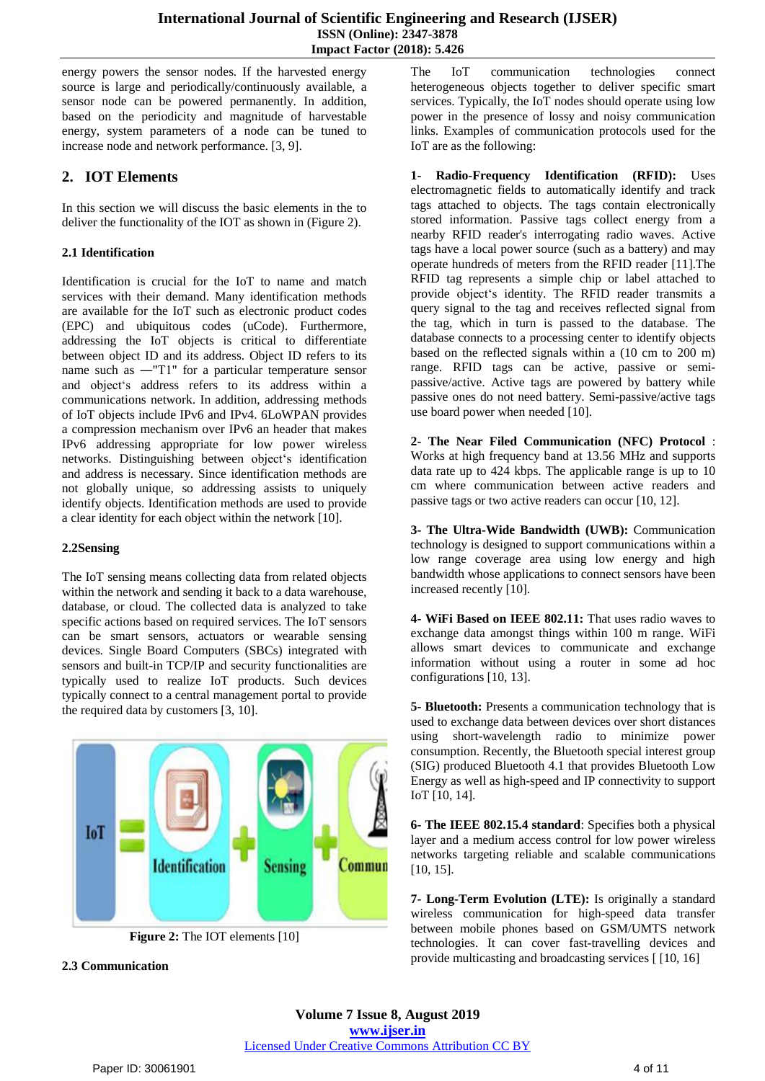energy powers the sensor nodes. If the harvested energy source is large and periodically/continuously available, a sensor node can be powered permanently. In addition, based on the periodicity and magnitude of harvestable energy, system parameters of a node can be tuned to increase node and network performance. [3, 9].

# **2. IOT Elements**

In this section we will discuss the basic elements in the to deliver the functionality of the IOT as shown in (Figure 2).

## **2.1 Identification**

Identification is crucial for the IoT to name and match services with their demand. Many identification methods are available for the IoT such as electronic product codes (EPC) and ubiquitous codes (uCode). Furthermore, addressing the IoT objects is critical to differentiate between object ID and its address. Object ID refers to its name such as ―"T1" for a particular temperature sensor and object's address refers to its address within a communications network. In addition, addressing methods of IoT objects include IPv6 and IPv4. 6LoWPAN provides a compression mechanism over IPv6 an header that makes IPv6 addressing appropriate for low power wireless networks. Distinguishing between object's identification and address is necessary. Since identification methods are not globally unique, so addressing assists to uniquely identify objects. Identification methods are used to provide a clear identity for each object within the network [10].

## **2.2Sensing**

The IoT sensing means collecting data from related objects within the network and sending it back to a data warehouse, database, or cloud. The collected data is analyzed to take specific actions based on required services. The IoT sensors can be smart sensors, actuators or wearable sensing devices. Single Board Computers (SBCs) integrated with sensors and built-in TCP/IP and security functionalities are typically used to realize IoT products. Such devices typically connect to a central management portal to provide the required data by customers [3, 10].



**Figure 2:** The IOT elements [10]

#### **2.3 Communication**

The IoT communication technologies connect heterogeneous objects together to deliver specific smart services. Typically, the IoT nodes should operate using low power in the presence of lossy and noisy communication links. Examples of communication protocols used for the IoT are as the following:

**1- Radio-Frequency Identification (RFID):** Uses electromagnetic fields to automatically identify and track tags attached to objects. The tags contain electronically stored information. Passive tags collect energy from a nearby RFID reader's interrogating radio waves. Active tags have a local power source (such as a battery) and may operate hundreds of meters from the RFID reader [11].The RFID tag represents a simple chip or label attached to provide object's identity. The RFID reader transmits a query signal to the tag and receives reflected signal from the tag, which in turn is passed to the database. The database connects to a processing center to identify objects based on the reflected signals within a (10 cm to 200 m) range. RFID tags can be active, passive or semipassive/active. Active tags are powered by battery while passive ones do not need battery. Semi-passive/active tags use board power when needed [10].

**2- The Near Filed Communication (NFC) Protocol** : Works at high frequency band at 13.56 MHz and supports data rate up to 424 kbps. The applicable range is up to 10 cm where communication between active readers and passive tags or two active readers can occur [10, 12].

**3- The Ultra-Wide Bandwidth (UWB):** Communication technology is designed to support communications within a low range coverage area using low energy and high bandwidth whose applications to connect sensors have been increased recently [10].

**4- WiFi Based on IEEE 802.11:** That uses radio waves to exchange data amongst things within 100 m range. WiFi allows smart devices to communicate and exchange information without using a router in some ad hoc configurations [10, 13].

**5- Bluetooth:** Presents a communication technology that is used to exchange data between devices over short distances using short-wavelength radio to minimize power consumption. Recently, the Bluetooth special interest group (SIG) produced Bluetooth 4.1 that provides Bluetooth Low Energy as well as high-speed and IP connectivity to support IoT [10, 14].

**6- The IEEE 802.15.4 standard**: Specifies both a physical layer and a medium access control for low power wireless networks targeting reliable and scalable communications [10, 15].

**7- Long-Term Evolution (LTE):** Is originally a standard wireless communication for high-speed data transfer between mobile phones based on GSM/UMTS network technologies. It can cover fast-travelling devices and provide multicasting and broadcasting services [ [10, 16]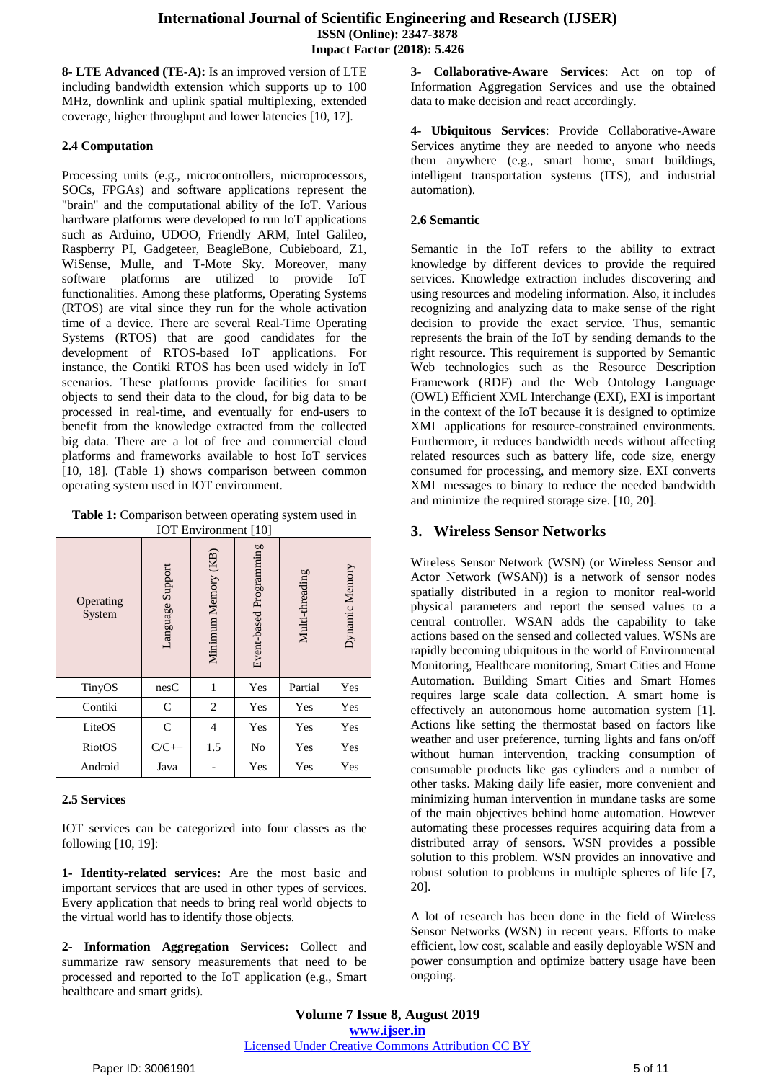**8- LTE Advanced (TE-A):** Is an improved version of LTE including bandwidth extension which supports up to 100 MHz, downlink and uplink spatial multiplexing, extended coverage, higher throughput and lower latencies [10, 17].

## **2.4 Computation**

Processing units (e.g., microcontrollers, microprocessors, SOCs, FPGAs) and software applications represent the "brain" and the computational ability of the IoT. Various hardware platforms were developed to run IoT applications such as Arduino, UDOO, Friendly ARM, Intel Galileo, Raspberry PI, Gadgeteer, BeagleBone, Cubieboard, Z1, WiSense, Mulle, and T-Mote Sky. Moreover, many software platforms are utilized to provide IoT functionalities. Among these platforms, Operating Systems (RTOS) are vital since they run for the whole activation time of a device. There are several Real-Time Operating Systems (RTOS) that are good candidates for the development of RTOS-based IoT applications. For instance, the Contiki RTOS has been used widely in IoT scenarios. These platforms provide facilities for smart objects to send their data to the cloud, for big data to be processed in real-time, and eventually for end-users to benefit from the knowledge extracted from the collected big data. There are a lot of free and commercial cloud platforms and frameworks available to host IoT services [10, 18]. (Table 1) shows comparison between common operating system used in IOT environment.

**Table 1:** Comparison between operating system used in IOT Environment [10]

| Operating<br>System | Language Support | Minimum Memory (KB) | Event-based Programming | Multi-threading | Dynamic Memory |
|---------------------|------------------|---------------------|-------------------------|-----------------|----------------|
| TinyOS              | nesC             | 1                   | Yes                     | Partial         | Yes            |
| Contiki             | C                | $\overline{c}$      | Yes                     | Yes             | Yes            |
| LiteOS              | $\mathsf{C}$     | 4                   | Yes                     | Yes             | Yes            |
| RiotOS              | $C/C++$          | 1.5                 | No                      | Yes             | Yes            |
| Android             | Java             |                     | Yes                     | Yes             | Yes            |

## **2.5 Services**

IOT services can be categorized into four classes as the following [10, 19]:

**1- Identity-related services:** Are the most basic and important services that are used in other types of services. Every application that needs to bring real world objects to the virtual world has to identify those objects.

**2- Information Aggregation Services:** Collect and summarize raw sensory measurements that need to be processed and reported to the IoT application (e.g., Smart healthcare and smart grids).

**3- Collaborative-Aware Services**: Act on top of Information Aggregation Services and use the obtained data to make decision and react accordingly.

**4- Ubiquitous Services**: Provide Collaborative-Aware Services anytime they are needed to anyone who needs them anywhere (e.g., smart home, smart buildings, intelligent transportation systems (ITS), and industrial automation).

## **2.6 Semantic**

Semantic in the IoT refers to the ability to extract knowledge by different devices to provide the required services. Knowledge extraction includes discovering and using resources and modeling information. Also, it includes recognizing and analyzing data to make sense of the right decision to provide the exact service. Thus, semantic represents the brain of the IoT by sending demands to the right resource. This requirement is supported by Semantic Web technologies such as the Resource Description Framework (RDF) and the Web Ontology Language (OWL) Efficient XML Interchange (EXI), EXI is important in the context of the IoT because it is designed to optimize XML applications for resource-constrained environments. Furthermore, it reduces bandwidth needs without affecting related resources such as battery life, code size, energy consumed for processing, and memory size. EXI converts XML messages to binary to reduce the needed bandwidth and minimize the required storage size. [10, 20].

# **3. Wireless Sensor Networks**

Wireless Sensor Network (WSN) (or Wireless Sensor and Actor Network (WSAN)) is a network of sensor nodes spatially distributed in a region to monitor real-world physical parameters and report the sensed values to a central controller. WSAN adds the capability to take actions based on the sensed and collected values. WSNs are rapidly becoming ubiquitous in the world of Environmental Monitoring, Healthcare monitoring, Smart Cities and Home Automation. Building Smart Cities and Smart Homes requires large scale data collection. A smart home is effectively an autonomous home automation system [1]. Actions like setting the thermostat based on factors like weather and user preference, turning lights and fans on/off without human intervention, tracking consumption of consumable products like gas cylinders and a number of other tasks. Making daily life easier, more convenient and minimizing human intervention in mundane tasks are some of the main objectives behind home automation. However automating these processes requires acquiring data from a distributed array of sensors. WSN provides a possible solution to this problem. WSN provides an innovative and robust solution to problems in multiple spheres of life [7, 20].

A lot of research has been done in the field of Wireless Sensor Networks (WSN) in recent years. Efforts to make efficient, low cost, scalable and easily deployable WSN and power consumption and optimize battery usage have been ongoing.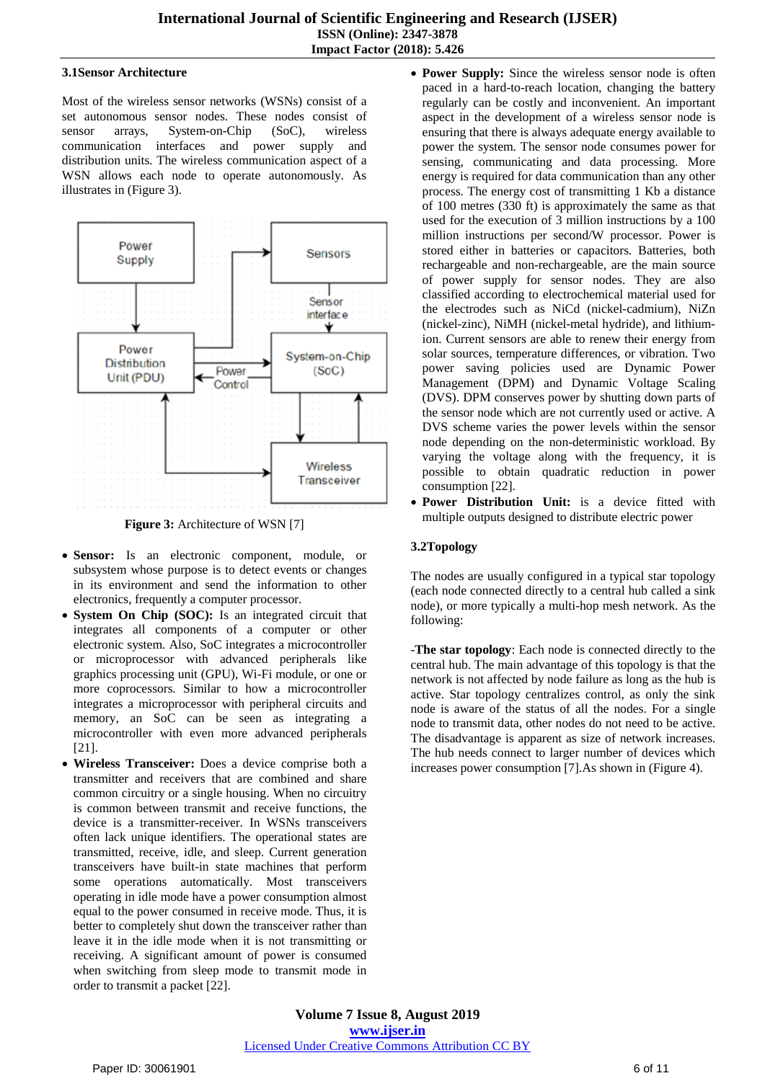## **3.1Sensor Architecture**

Most of the wireless sensor networks (WSNs) consist of a set autonomous sensor nodes. These nodes consist of sensor arrays, System-on-Chip (SoC), wireless communication interfaces and power supply and distribution units. The wireless communication aspect of a WSN allows each node to operate autonomously. As illustrates in (Figure 3).



**Figure 3:** Architecture of WSN [7]

- **Sensor:** Is an electronic component, module, or subsystem whose purpose is to detect events or changes in its environment and send the information to other electronics, frequently a computer processor.
- **System On Chip (SOC):** Is an integrated circuit that integrates all components of a computer or other electronic system. Also, SoC integrates a microcontroller or microprocessor with advanced peripherals like graphics processing unit (GPU), Wi-Fi module, or one or more coprocessors. Similar to how a microcontroller integrates a microprocessor with peripheral circuits and memory, an SoC can be seen as integrating a microcontroller with even more advanced peripherals [21].
- **Wireless Transceiver:** Does a device comprise both a transmitter and receivers that are combined and share common circuitry or a single housing. When no circuitry is common between transmit and receive functions, the device is a transmitter-receiver. In WSNs transceivers often lack unique identifiers. The operational states are transmitted, receive, idle, and sleep. Current generation transceivers have built-in state machines that perform some operations automatically. Most transceivers operating in idle mode have a power consumption almost equal to the power consumed in receive mode. Thus, it is better to completely shut down the transceiver rather than leave it in the idle mode when it is not transmitting or receiving. A significant amount of power is consumed when switching from sleep mode to transmit mode in order to transmit a packet [22].
- **Power Supply:** Since the wireless sensor node is often paced in a hard-to-reach location, changing the battery regularly can be costly and inconvenient. An important aspect in the development of a wireless sensor node is ensuring that there is always adequate energy available to power the system. The sensor node consumes power for sensing, communicating and data processing. More energy is required for data communication than any other process. The energy cost of transmitting 1 Kb a distance of 100 metres (330 ft) is approximately the same as that used for the execution of 3 million instructions by a 100 million instructions per second/W processor. Power is stored either in batteries or capacitors. Batteries, both rechargeable and non-rechargeable, are the main source of power supply for sensor nodes. They are also classified according to electrochemical material used for the electrodes such as NiCd (nickel-cadmium), NiZn (nickel-zinc), NiMH (nickel-metal hydride), and lithiumion. Current sensors are able to renew their energy from solar sources, temperature differences, or vibration. Two power saving policies used are Dynamic Power Management (DPM) and Dynamic Voltage Scaling (DVS). DPM conserves power by shutting down parts of the sensor node which are not currently used or active. A DVS scheme varies the power levels within the sensor node depending on the non-deterministic workload. By varying the voltage along with the frequency, it is possible to obtain quadratic reduction in power consumption [22].
- **Power Distribution Unit:** is a device fitted with multiple outputs designed to distribute electric power

## **3.2Topology**

The nodes are usually configured in a typical star topology (each node connected directly to a central hub called a sink node), or more typically a multi-hop mesh network. As the following:

-**The star topology**: Each node is connected directly to the central hub. The main advantage of this topology is that the network is not affected by node failure as long as the hub is active. Star topology centralizes control, as only the sink node is aware of the status of all the nodes. For a single node to transmit data, other nodes do not need to be active. The disadvantage is apparent as size of network increases. The hub needs connect to larger number of devices which increases power consumption [7].As shown in (Figure 4).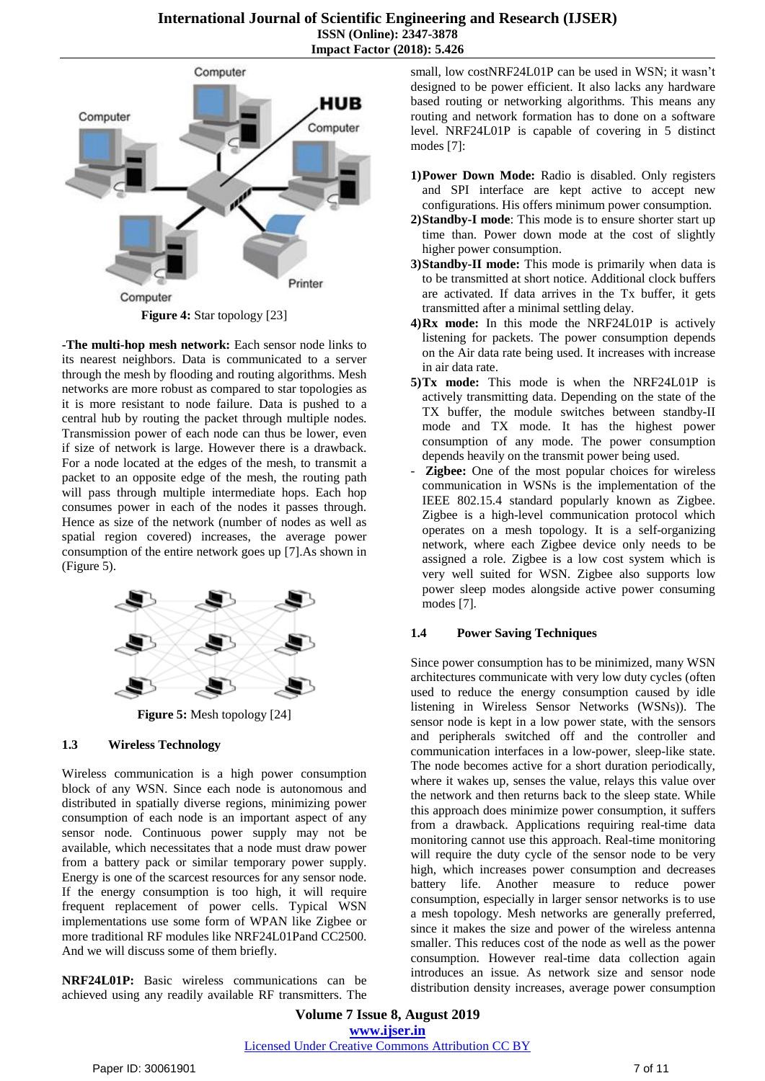

**Figure 4:** Star topology [23]

**-The multi-hop mesh network:** Each sensor node links to its nearest neighbors. Data is communicated to a server through the mesh by flooding and routing algorithms. Mesh networks are more robust as compared to star topologies as it is more resistant to node failure. Data is pushed to a central hub by routing the packet through multiple nodes. Transmission power of each node can thus be lower, even if size of network is large. However there is a drawback. For a node located at the edges of the mesh, to transmit a packet to an opposite edge of the mesh, the routing path will pass through multiple intermediate hops. Each hop consumes power in each of the nodes it passes through. Hence as size of the network (number of nodes as well as spatial region covered) increases, the average power consumption of the entire network goes up [7].As shown in (Figure 5).



**Figure 5:** Mesh topology [24]

#### **1.3 Wireless Technology**

Wireless communication is a high power consumption block of any WSN. Since each node is autonomous and distributed in spatially diverse regions, minimizing power consumption of each node is an important aspect of any sensor node. Continuous power supply may not be available, which necessitates that a node must draw power from a battery pack or similar temporary power supply. Energy is one of the scarcest resources for any sensor node. If the energy consumption is too high, it will require frequent replacement of power cells. Typical WSN implementations use some form of WPAN like Zigbee or more traditional RF modules like NRF24L01Pand CC2500. And we will discuss some of them briefly.

**NRF24L01P:** Basic wireless communications can be achieved using any readily available RF transmitters. The small, low costNRF24L01P can be used in WSN; it wasn't designed to be power efficient. It also lacks any hardware based routing or networking algorithms. This means any routing and network formation has to done on a software level. NRF24L01P is capable of covering in 5 distinct modes [7]:

- **1)Power Down Mode:** Radio is disabled. Only registers and SPI interface are kept active to accept new configurations. His offers minimum power consumption.
- **2)Standby-I mode**: This mode is to ensure shorter start up time than. Power down mode at the cost of slightly higher power consumption.
- **3)Standby-II mode:** This mode is primarily when data is to be transmitted at short notice. Additional clock buffers are activated. If data arrives in the Tx buffer, it gets transmitted after a minimal settling delay.
- **4)Rx mode:** In this mode the NRF24L01P is actively listening for packets. The power consumption depends on the Air data rate being used. It increases with increase in air data rate.
- **5)Tx mode:** This mode is when the NRF24L01P is actively transmitting data. Depending on the state of the TX buffer, the module switches between standby-II mode and TX mode. It has the highest power consumption of any mode. The power consumption depends heavily on the transmit power being used.
- **Zigbee:** One of the most popular choices for wireless communication in WSNs is the implementation of the IEEE 802.15.4 standard popularly known as Zigbee. Zigbee is a high-level communication protocol which operates on a mesh topology. It is a self-organizing network, where each Zigbee device only needs to be assigned a role. Zigbee is a low cost system which is very well suited for WSN. Zigbee also supports low power sleep modes alongside active power consuming modes [7].

## **1.4 Power Saving Techniques**

Since power consumption has to be minimized, many WSN architectures communicate with very low duty cycles (often used to reduce the energy consumption caused by idle listening in Wireless Sensor Networks (WSNs)). The sensor node is kept in a low power state, with the sensors and peripherals switched off and the controller and communication interfaces in a low-power, sleep-like state. The node becomes active for a short duration periodically, where it wakes up, senses the value, relays this value over the network and then returns back to the sleep state. While this approach does minimize power consumption, it suffers from a drawback. Applications requiring real-time data monitoring cannot use this approach. Real-time monitoring will require the duty cycle of the sensor node to be very high, which increases power consumption and decreases battery life. Another measure to reduce power consumption, especially in larger sensor networks is to use a mesh topology. Mesh networks are generally preferred, since it makes the size and power of the wireless antenna smaller. This reduces cost of the node as well as the power consumption. However real-time data collection again introduces an issue. As network size and sensor node distribution density increases, average power consumption

**Volume 7 Issue 8, August 2019 www.ijser.in** Licensed Under Creative Commons Attribution CC BY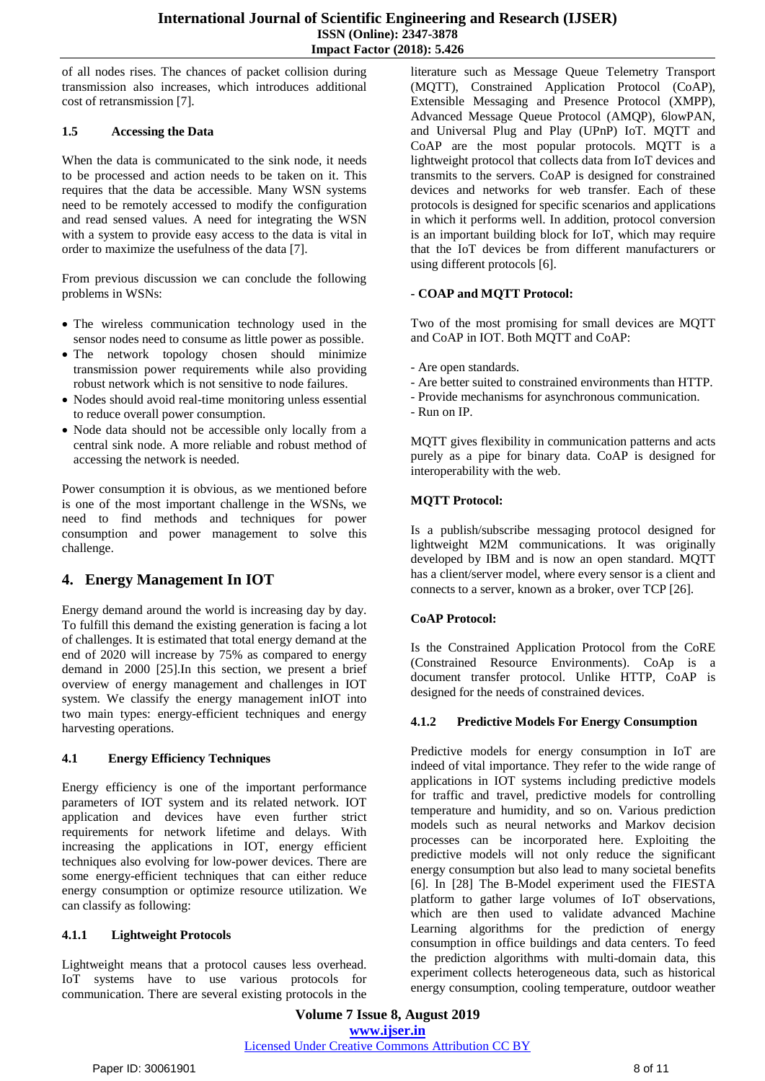of all nodes rises. The chances of packet collision during transmission also increases, which introduces additional cost of retransmission [7].

## **1.5 Accessing the Data**

When the data is communicated to the sink node, it needs to be processed and action needs to be taken on it. This requires that the data be accessible. Many WSN systems need to be remotely accessed to modify the configuration and read sensed values. A need for integrating the WSN with a system to provide easy access to the data is vital in order to maximize the usefulness of the data [7].

From previous discussion we can conclude the following problems in WSNs:

- The wireless communication technology used in the sensor nodes need to consume as little power as possible.
- The network topology chosen should minimize transmission power requirements while also providing robust network which is not sensitive to node failures.
- Nodes should avoid real-time monitoring unless essential to reduce overall power consumption.
- Node data should not be accessible only locally from a central sink node. A more reliable and robust method of accessing the network is needed.

Power consumption it is obvious, as we mentioned before is one of the most important challenge in the WSNs, we need to find methods and techniques for power consumption and power management to solve this challenge.

# **4. Energy Management In IOT**

Energy demand around the world is increasing day by day. To fulfill this demand the existing generation is facing a lot of challenges. It is estimated that total energy demand at the end of 2020 will increase by 75% as compared to energy demand in 2000 [25].In this section, we present a brief overview of energy management and challenges in IOT system. We classify the energy management inIOT into two main types: energy-efficient techniques and energy harvesting operations.

# **4.1 Energy Efficiency Techniques**

Energy efficiency is one of the important performance parameters of IOT system and its related network. IOT application and devices have even further strict requirements for network lifetime and delays. With increasing the applications in IOT, energy efficient techniques also evolving for low-power devices. There are some energy-efficient techniques that can either reduce energy consumption or optimize resource utilization. We can classify as following:

# **4.1.1 Lightweight Protocols**

Lightweight means that a protocol causes less overhead. IoT systems have to use various protocols for communication. There are several existing protocols in the literature such as Message Queue Telemetry Transport (MQTT), Constrained Application Protocol (CoAP), Extensible Messaging and Presence Protocol (XMPP), Advanced Message Queue Protocol (AMQP), 6lowPAN, and Universal Plug and Play (UPnP) IoT. MQTT and CoAP are the most popular protocols. MQTT is a lightweight protocol that collects data from IoT devices and transmits to the servers. CoAP is designed for constrained devices and networks for web transfer. Each of these protocols is designed for specific scenarios and applications in which it performs well. In addition, protocol conversion is an important building block for IoT, which may require that the IoT devices be from different manufacturers or using different protocols [6].

## **- COAP and MQTT Protocol:**

Two of the most promising for small devices are MQTT and CoAP in IOT. Both MQTT and CoAP:

- Are open standards.
- Are better suited to constrained environments than HTTP.
- Provide mechanisms for asynchronous communication.
- Run on IP.

MQTT gives flexibility in communication patterns and acts purely as a pipe for binary data. CoAP is designed for interoperability with the web.

# **MQTT Protocol:**

Is a publish/subscribe messaging protocol designed for lightweight M2M communications. It was originally developed by IBM and is now an open standard. MQTT has a client/server model, where every sensor is a client and connects to a server, known as a broker, over TCP [26].

## **CoAP Protocol:**

Is the Constrained Application Protocol from the CoRE (Constrained Resource Environments). CoAp is a document transfer protocol. Unlike HTTP, CoAP is designed for the needs of constrained devices.

## **4.1.2 Predictive Models For Energy Consumption**

Predictive models for energy consumption in IoT are indeed of vital importance. They refer to the wide range of applications in IOT systems including predictive models for traffic and travel, predictive models for controlling temperature and humidity, and so on. Various prediction models such as neural networks and Markov decision processes can be incorporated here. Exploiting the predictive models will not only reduce the significant energy consumption but also lead to many societal benefits [6]. In [28] The B-Model experiment used the FIESTA platform to gather large volumes of IoT observations, which are then used to validate advanced Machine Learning algorithms for the prediction of energy consumption in office buildings and data centers. To feed the prediction algorithms with multi-domain data, this experiment collects heterogeneous data, such as historical energy consumption, cooling temperature, outdoor weather

**Volume 7 Issue 8, August 2019 www.ijser.in** Licensed Under Creative Commons Attribution CC BY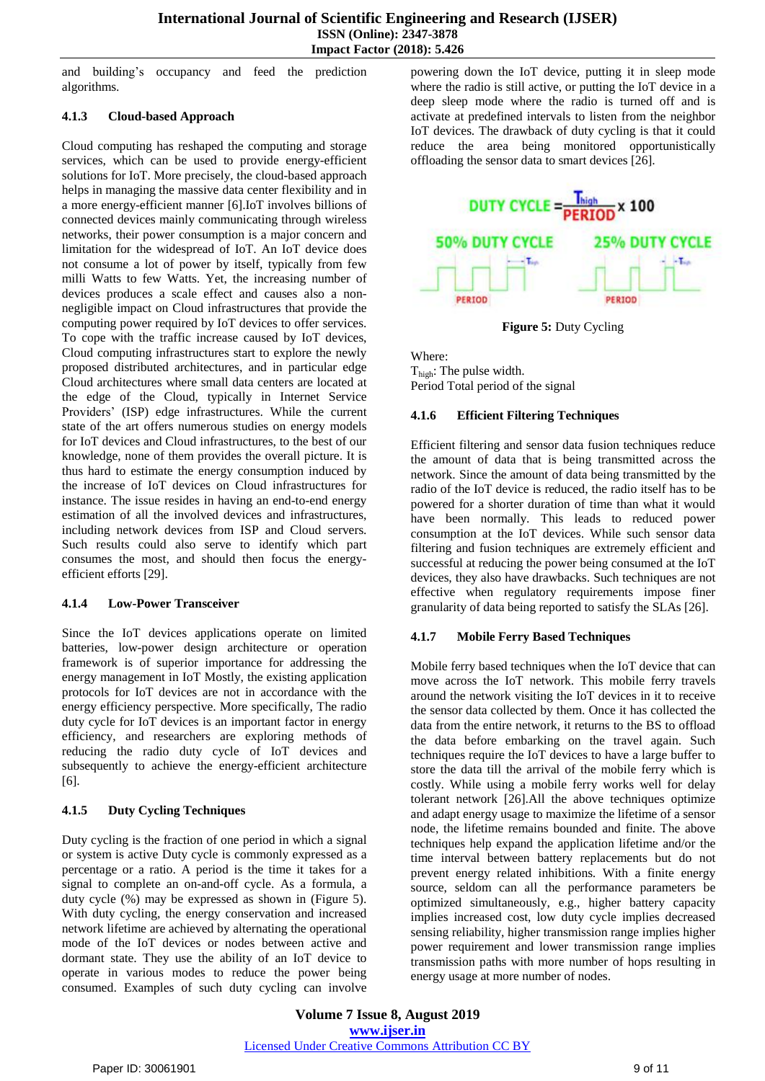and building's occupancy and feed the prediction algorithms.

## **4.1.3 Cloud-based Approach**

Cloud computing has reshaped the computing and storage services, which can be used to provide energy-efficient solutions for IoT. More precisely, the cloud-based approach helps in managing the massive data center flexibility and in a more energy-efficient manner [6].IoT involves billions of connected devices mainly communicating through wireless networks, their power consumption is a major concern and limitation for the widespread of IoT. An IoT device does not consume a lot of power by itself, typically from few milli Watts to few Watts. Yet, the increasing number of devices produces a scale effect and causes also a nonnegligible impact on Cloud infrastructures that provide the computing power required by IoT devices to offer services. To cope with the traffic increase caused by IoT devices, Cloud computing infrastructures start to explore the newly proposed distributed architectures, and in particular edge Cloud architectures where small data centers are located at the edge of the Cloud, typically in Internet Service Providers' (ISP) edge infrastructures. While the current state of the art offers numerous studies on energy models for IoT devices and Cloud infrastructures, to the best of our knowledge, none of them provides the overall picture. It is thus hard to estimate the energy consumption induced by the increase of IoT devices on Cloud infrastructures for instance. The issue resides in having an end-to-end energy estimation of all the involved devices and infrastructures, including network devices from ISP and Cloud servers. Such results could also serve to identify which part consumes the most, and should then focus the energyefficient efforts [29].

## **4.1.4 Low-Power Transceiver**

Since the IoT devices applications operate on limited batteries, low-power design architecture or operation framework is of superior importance for addressing the energy management in IoT Mostly, the existing application protocols for IoT devices are not in accordance with the energy efficiency perspective. More specifically, The radio duty cycle for IoT devices is an important factor in energy efficiency, and researchers are exploring methods of reducing the radio duty cycle of IoT devices and subsequently to achieve the energy-efficient architecture [6].

## **4.1.5 Duty Cycling Techniques**

Duty cycling is the fraction of one period in which a signal or system is active Duty cycle is commonly expressed as a percentage or a ratio. A period is the time it takes for a signal to complete an on-and-off cycle. As a formula, a duty cycle (%) may be expressed as shown in (Figure 5). With duty cycling, the energy conservation and increased network lifetime are achieved by alternating the operational mode of the IoT devices or nodes between active and dormant state. They use the ability of an IoT device to operate in various modes to reduce the power being consumed. Examples of such duty cycling can involve

powering down the IoT device, putting it in sleep mode where the radio is still active, or putting the IoT device in a deep sleep mode where the radio is turned off and is activate at predefined intervals to listen from the neighbor IoT devices. The drawback of duty cycling is that it could reduce the area being monitored opportunistically offloading the sensor data to smart devices [26].



**Figure 5:** Duty Cycling

Where: Thigh: The pulse width. Period Total period of the signal

## **4.1.6 Efficient Filtering Techniques**

Efficient filtering and sensor data fusion techniques reduce the amount of data that is being transmitted across the network. Since the amount of data being transmitted by the radio of the IoT device is reduced, the radio itself has to be powered for a shorter duration of time than what it would have been normally. This leads to reduced power consumption at the IoT devices. While such sensor data filtering and fusion techniques are extremely efficient and successful at reducing the power being consumed at the IoT devices, they also have drawbacks. Such techniques are not effective when regulatory requirements impose finer granularity of data being reported to satisfy the SLAs [26].

## **4.1.7 Mobile Ferry Based Techniques**

Mobile ferry based techniques when the IoT device that can move across the IoT network. This mobile ferry travels around the network visiting the IoT devices in it to receive the sensor data collected by them. Once it has collected the data from the entire network, it returns to the BS to offload the data before embarking on the travel again. Such techniques require the IoT devices to have a large buffer to store the data till the arrival of the mobile ferry which is costly. While using a mobile ferry works well for delay tolerant network [26].All the above techniques optimize and adapt energy usage to maximize the lifetime of a sensor node, the lifetime remains bounded and finite. The above techniques help expand the application lifetime and/or the time interval between battery replacements but do not prevent energy related inhibitions. With a finite energy source, seldom can all the performance parameters be optimized simultaneously, e.g., higher battery capacity implies increased cost, low duty cycle implies decreased sensing reliability, higher transmission range implies higher power requirement and lower transmission range implies transmission paths with more number of hops resulting in energy usage at more number of nodes.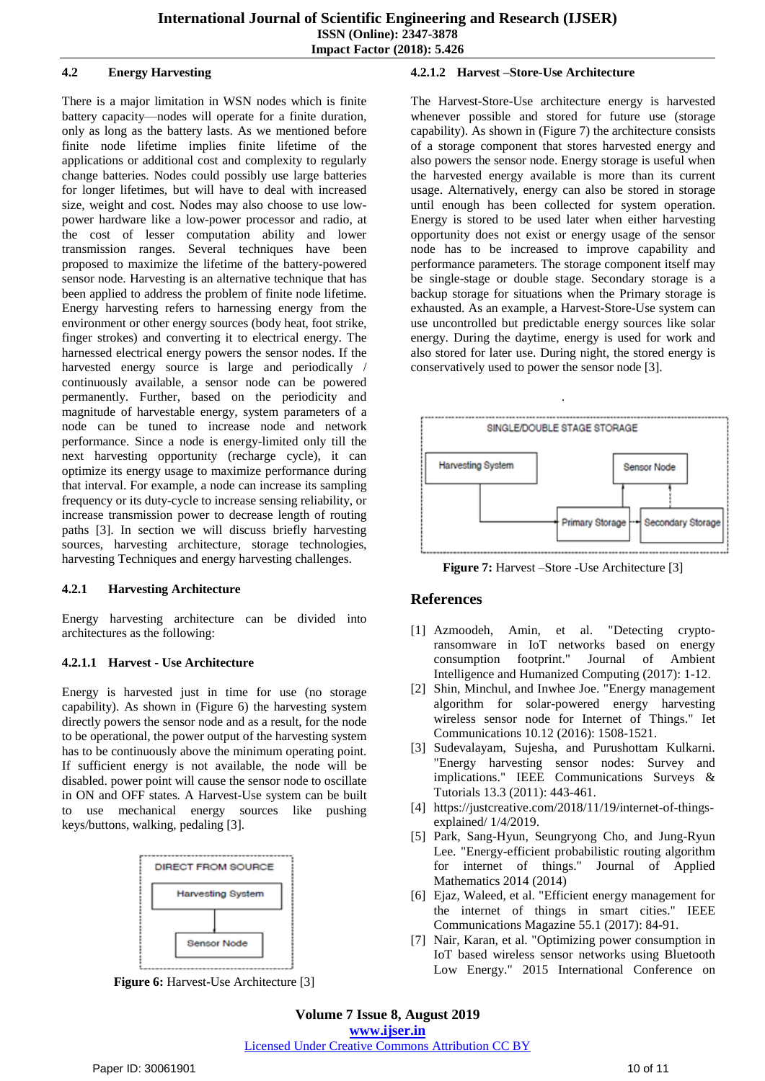#### **4.2 Energy Harvesting**

There is a major limitation in WSN nodes which is finite battery capacity—nodes will operate for a finite duration, only as long as the battery lasts. As we mentioned before finite node lifetime implies finite lifetime of the applications or additional cost and complexity to regularly change batteries. Nodes could possibly use large batteries for longer lifetimes, but will have to deal with increased size, weight and cost. Nodes may also choose to use lowpower hardware like a low-power processor and radio, at the cost of lesser computation ability and lower transmission ranges. Several techniques have been proposed to maximize the lifetime of the battery-powered sensor node. Harvesting is an alternative technique that has been applied to address the problem of finite node lifetime. Energy harvesting refers to harnessing energy from the environment or other energy sources (body heat, foot strike, finger strokes) and converting it to electrical energy. The harnessed electrical energy powers the sensor nodes. If the harvested energy source is large and periodically / continuously available, a sensor node can be powered permanently. Further, based on the periodicity and magnitude of harvestable energy, system parameters of a node can be tuned to increase node and network performance. Since a node is energy-limited only till the next harvesting opportunity (recharge cycle), it can optimize its energy usage to maximize performance during that interval. For example, a node can increase its sampling frequency or its duty-cycle to increase sensing reliability, or increase transmission power to decrease length of routing paths [3]. In section we will discuss briefly harvesting sources, harvesting architecture, storage technologies, harvesting Techniques and energy harvesting challenges.

#### **4.2.1 Harvesting Architecture**

Energy harvesting architecture can be divided into architectures as the following:

#### **4.2.1.1 Harvest - Use Architecture**

Energy is harvested just in time for use (no storage capability). As shown in (Figure 6) the harvesting system directly powers the sensor node and as a result, for the node to be operational, the power output of the harvesting system has to be continuously above the minimum operating point. If sufficient energy is not available, the node will be disabled. power point will cause the sensor node to oscillate in ON and OFF states. A Harvest-Use system can be built to use mechanical energy sources like pushing keys/buttons, walking, pedaling [3].



**Figure 6:** Harvest-Use Architecture [3]

## **4.2.1.2 Harvest –Store-Use Architecture**

The Harvest-Store-Use architecture energy is harvested whenever possible and stored for future use (storage capability). As shown in (Figure 7) the architecture consists of a storage component that stores harvested energy and also powers the sensor node. Energy storage is useful when the harvested energy available is more than its current usage. Alternatively, energy can also be stored in storage until enough has been collected for system operation. Energy is stored to be used later when either harvesting opportunity does not exist or energy usage of the sensor node has to be increased to improve capability and performance parameters. The storage component itself may be single-stage or double stage. Secondary storage is a backup storage for situations when the Primary storage is exhausted. As an example, a Harvest-Store-Use system can use uncontrolled but predictable energy sources like solar energy. During the daytime, energy is used for work and also stored for later use. During night, the stored energy is conservatively used to power the sensor node [3].



.

**Figure 7:** Harvest –Store -Use Architecture [3]

# **References**

- [1] Azmoodeh, Amin, et al. "Detecting cryptoransomware in IoT networks based on energy consumption footprint." Journal of Ambient Intelligence and Humanized Computing (2017): 1-12.
- [2] Shin, Minchul, and Inwhee Joe. "Energy management algorithm for solar-powered energy harvesting wireless sensor node for Internet of Things." Iet Communications 10.12 (2016): 1508-1521.
- [3] Sudevalayam, Sujesha, and Purushottam Kulkarni. "Energy harvesting sensor nodes: Survey and implications." IEEE Communications Surveys & Tutorials 13.3 (2011): 443-461.
- [4] [https://justcreative.com/2018/11/19/internet-of-things](https://justcreative.com/2018/11/19/internet-of-things-explained/)[explained/](https://justcreative.com/2018/11/19/internet-of-things-explained/) 1/4/2019.
- [5] Park, Sang-Hyun, Seungryong Cho, and Jung-Ryun Lee. "Energy-efficient probabilistic routing algorithm for internet of things." Journal of Applied Mathematics 2014 (2014)
- [6] Ejaz, Waleed, et al. "Efficient energy management for the internet of things in smart cities." IEEE Communications Magazine 55.1 (2017): 84-91.
- [7] Nair, Karan, et al. "Optimizing power consumption in IoT based wireless sensor networks using Bluetooth Low Energy." 2015 International Conference on

# Licensed Under Creative Commons Attribution CC BY